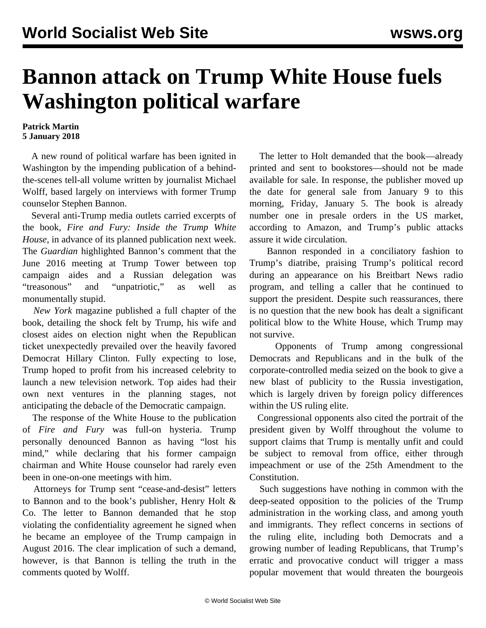## **Bannon attack on Trump White House fuels Washington political warfare**

## **Patrick Martin 5 January 2018**

 A new round of political warfare has been ignited in Washington by the impending publication of a behindthe-scenes tell-all volume written by journalist Michael Wolff, based largely on interviews with former Trump counselor Stephen Bannon.

 Several anti-Trump media outlets carried excerpts of the book, *Fire and Fury: Inside the Trump White House*, in advance of its planned publication next week. The *Guardian* highlighted Bannon's comment that the June 2016 meeting at Trump Tower between top campaign aides and a Russian delegation was "treasonous" and "unpatriotic," as well as monumentally stupid.

 *New York* magazine published a full chapter of the book, detailing the shock felt by Trump, his wife and closest aides on election night when the Republican ticket unexpectedly prevailed over the heavily favored Democrat Hillary Clinton. Fully expecting to lose, Trump hoped to profit from his increased celebrity to launch a new television network. Top aides had their own next ventures in the planning stages, not anticipating the debacle of the Democratic campaign.

 The response of the White House to the publication of *Fire and Fury* was full-on hysteria. Trump personally denounced Bannon as having "lost his mind," while declaring that his former campaign chairman and White House counselor had rarely even been in one-on-one meetings with him.

 Attorneys for Trump sent "cease-and-desist" letters to Bannon and to the book's publisher, Henry Holt & Co. The letter to Bannon demanded that he stop violating the confidentiality agreement he signed when he became an employee of the Trump campaign in August 2016. The clear implication of such a demand, however, is that Bannon is telling the truth in the comments quoted by Wolff.

 The letter to Holt demanded that the book—already printed and sent to bookstores—should not be made available for sale. In response, the publisher moved up the date for general sale from January 9 to this morning, Friday, January 5. The book is already number one in presale orders in the US market, according to Amazon, and Trump's public attacks assure it wide circulation.

 Bannon responded in a conciliatory fashion to Trump's diatribe, praising Trump's political record during an appearance on his Breitbart News radio program, and telling a caller that he continued to support the president. Despite such reassurances, there is no question that the new book has dealt a significant political blow to the White House, which Trump may not survive.

 Opponents of Trump among congressional Democrats and Republicans and in the bulk of the corporate-controlled media seized on the book to give a new blast of publicity to the Russia investigation, which is largely driven by foreign policy differences within the US ruling elite.

 Congressional opponents also cited the portrait of the president given by Wolff throughout the volume to support claims that Trump is mentally unfit and could be subject to removal from office, either through impeachment or use of the 25th Amendment to the Constitution.

 Such suggestions have nothing in common with the deep-seated opposition to the policies of the Trump administration in the working class, and among youth and immigrants. They reflect concerns in sections of the ruling elite, including both Democrats and a growing number of leading Republicans, that Trump's erratic and provocative conduct will trigger a mass popular movement that would threaten the bourgeois